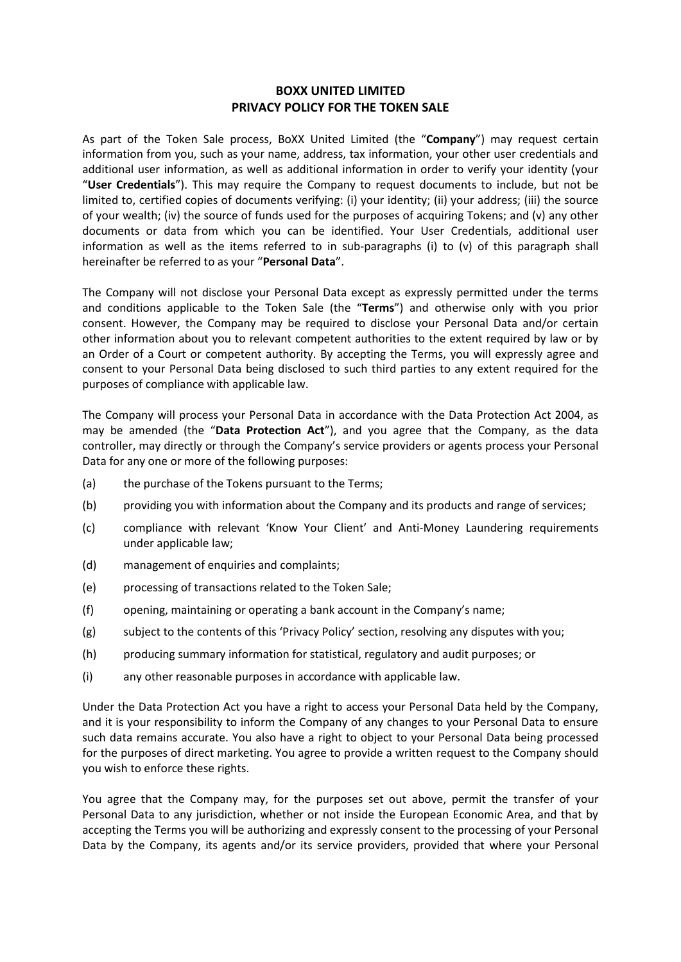## **BOXX UNITED LIMITED PRIVACY POLICY FOR THE TOKEN SALE**

As part of the Token Sale process, BoXX United Limited (the "**Company**") may request certain information from you, such as your name, address, tax information, your other user credentials and additional user information, as well as additional information in order to verify your identity (your "**User Credentials**"). This may require the Company to request documents to include, but not be limited to, certified copies of documents verifying: (i) your identity; (ii) your address; (iii) the source of your wealth; (iv) the source of funds used for the purposes of acquiring Tokens; and (v) any other documents or data from which you can be identified. Your User Credentials, additional user information as well as the items referred to in sub-paragraphs (i) to (v) of this paragraph shall hereinafter be referred to as your "**Personal Data**".

The Company will not disclose your Personal Data except as expressly permitted under the terms and conditions applicable to the Token Sale (the "**Terms**") and otherwise only with you prior consent. However, the Company may be required to disclose your Personal Data and/or certain other information about you to relevant competent authorities to the extent required by law or by an Order of a Court or competent authority. By accepting the Terms, you will expressly agree and consent to your Personal Data being disclosed to such third parties to any extent required for the purposes of compliance with applicable law.

The Company will process your Personal Data in accordance with the Data Protection Act 2004, as may be amended (the "**Data Protection Act**"), and you agree that the Company, as the data controller, may directly or through the Company's service providers or agents process your Personal Data for any one or more of the following purposes:

- (a) the purchase of the Tokens pursuant to the Terms;
- (b) providing you with information about the Company and its products and range of services;
- (c) compliance with relevant 'Know Your Client' and Anti-Money Laundering requirements under applicable law;
- (d) management of enquiries and complaints;
- (e) processing of transactions related to the Token Sale;
- (f) opening, maintaining or operating a bank account in the Company's name;
- (g) subject to the contents of this 'Privacy Policy' section, resolving any disputes with you;
- (h) producing summary information for statistical, regulatory and audit purposes; or
- (i) any other reasonable purposes in accordance with applicable law.

Under the Data Protection Act you have a right to access your Personal Data held by the Company, and it is your responsibility to inform the Company of any changes to your Personal Data to ensure such data remains accurate. You also have a right to object to your Personal Data being processed for the purposes of direct marketing. You agree to provide a written request to the Company should you wish to enforce these rights.

You agree that the Company may, for the purposes set out above, permit the transfer of your Personal Data to any jurisdiction, whether or not inside the European Economic Area, and that by accepting the Terms you will be authorizing and expressly consent to the processing of your Personal Data by the Company, its agents and/or its service providers, provided that where your Personal